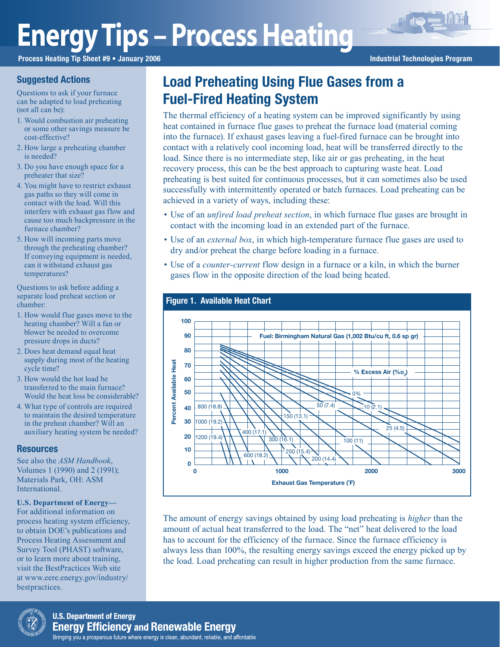# **Energy Tips – Process Heating**

Process Heating Tip Sheet #9 • January 2006 **Industrial Technologies Program** Industrial Technologies Program

# Suggested Actions

Questions to ask if your furnace can be adapted to load preheating (not all can be):

- 1. Would combustion air preheating or some other savings measure be cost-effective?
- 2. How large a preheating chamber is needed?
- 3. Do you have enough space for a preheater that size?
- 4. You might have to restrict exhaust gas paths so they will come in contact with the load. Will this interfere with exhaust gas flow and cause too much backpressure in the furnace chamber?
- 5. How will incoming parts move through the preheating chamber? If conveying equipment is needed, can it withstand exhaust gas temperatures?

Questions to ask before adding a separate load preheat section or chamber:

- 1. How would flue gases move to the heating chamber? Will a fan or blower be needed to overcome pressure drops in ducts?
- 2. Does heat demand equal heat supply during most of the heating cycle time?
- 3. How would the hot load be transferred to the main furnace? Would the heat loss be considerable?
- 4. What type of controls are required to maintain the desired temperature in the preheat chamber? Will an auxiliary heating system be needed?

## **Resources**

See also the *ASM Handbook*, Volumes 1 (1990) and 2 (1991); Materials Park, OH: ASM International.

### **U.S. Department of Energy—**

For additional information on process heating system efficiency, to obtain DOE's publications and Process Heating Assessment and Survey Tool (PHAST) software, or to learn more about training, visit the BestPractices Web site at www.eere.energy.gov/industry/ bestpractices.

# Load Preheating Using Flue Gases from a Fuel-Fired Heating System

The thermal efficiency of a heating system can be improved significantly by using heat contained in furnace flue gases to preheat the furnace load (material coming into the furnace). If exhaust gases leaving a fuel-fired furnace can be brought into contact with a relatively cool incoming load, heat will be transferred directly to the load. Since there is no intermediate step, like air or gas preheating, in the heat recovery process, this can be the best approach to capturing waste heat. Load preheating is best suited for continuous processes, but it can sometimes also be used successfully with intermittently operated or batch furnaces. Load preheating can be achieved in a variety of ways, including these:

- Use of an *unfired load preheat section*, in which furnace flue gases are brought in contact with the incoming load in an extended part of the furnace.
- Use of an *external box*, in which high-temperature furnace flue gases are used to dry and/or preheat the charge before loading in a furnace.
- Use of a *counter-current* flow design in a furnace or a kiln, in which the burner gases flow in the opposite direction of the load being heated.



The amount of energy savings obtained by using load preheating is *higher* than the amount of actual heat transferred to the load. The "net" heat delivered to the load has to account for the efficiency of the furnace. Since the furnace efficiency is always less than 100%, the resulting energy savings exceed the energy picked up by the load. Load preheating can result in higher production from the same furnace.